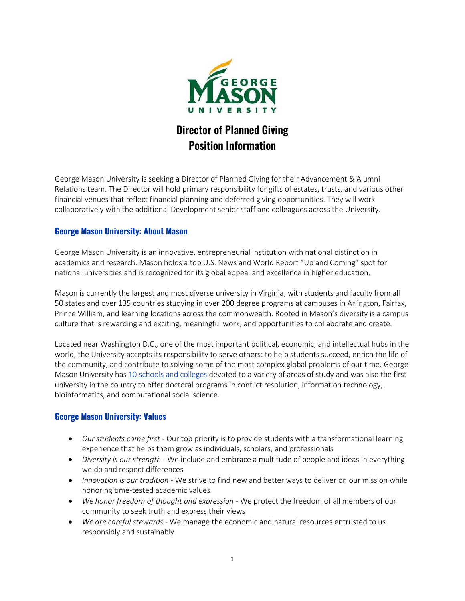

# **Director of Planned Giving Position Information**

George Mason University is seeking a Director of Planned Giving for their Advancement & Alumni Relations team. The Director will hold primary responsibility for gifts of estates, trusts, and various other financial venues that reflect financial planning and deferred giving opportunities. They will work collaboratively with the additional Development senior staff and colleagues across the University.

#### **George Mason University: About Mason**

George Mason University is an innovative, entrepreneurial institution with national distinction in academics and research. Mason holds a top U.S. News and World Report "Up and Coming" spot for national universities and is recognized for its global appeal and excellence in higher education.

Mason is currently the largest and most diverse university in Virginia, with students and faculty from all 50 states and over 135 countries studying in over 200 degree programs at campuses in Arlington, Fairfax, Prince William, and learning locations across the commonwealth. Rooted in Mason's diversity is a campus culture that is rewarding and exciting, meaningful work, and opportunities to collaborate and create.

Located near Washington D.C., one of the most important political, economic, and intellectual hubs in the world, the University accepts its responsibility to serve others: to help students succeed, enrich the life of the community, and contribute to solving some of the most complex global problems of our time. George Mason University has [10 schools and colleges](https://www2.gmu.edu/academics#tab_Schools) devoted to a variety of areas of study and was also the first university in the country to offer doctoral programs in conflict resolution, information technology, bioinformatics, and computational social science.

## **George Mason University: Values**

- *Our students come first* Our top priority is to provide students with a transformational learning experience that helps them grow as individuals, scholars, and professionals
- *Diversity is our strength* We include and embrace a multitude of people and ideas in everything we do and respect differences
- *Innovation is our tradition* We strive to find new and better ways to deliver on our mission while honoring time-tested academic values
- *We honor freedom of thought and expression* We protect the freedom of all members of our community to seek truth and express their views
- *We are careful stewards* We manage the economic and natural resources entrusted to us responsibly and sustainably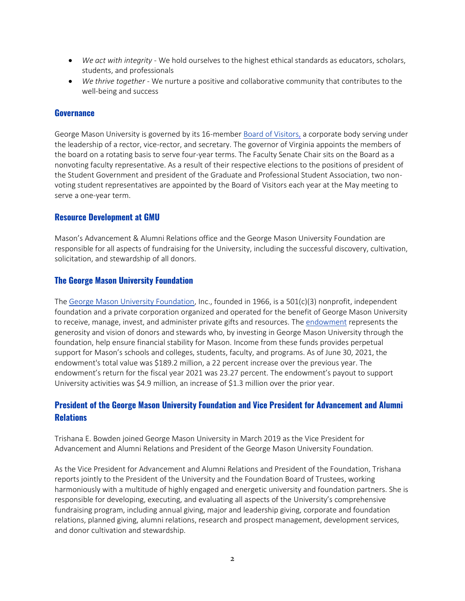- *We act with integrity* We hold ourselves to the highest ethical standards as educators, scholars, students, and professionals
- *We thrive together* We nurture a positive and collaborative community that contributes to the well-being and success

#### **Governance**

George Mason University is governed by its 16-membe[r Board of Visitors,](https://bov.gmu.edu/) a corporate body serving under the leadership of a rector, vice-rector, and secretary. The governor of Virginia appoints the members of the board on a rotating basis to serve four-year terms. The Faculty Senate Chair sits on the Board as a nonvoting faculty representative. As a result of their respective elections to the positions of president of the Student Government and president of the Graduate and Professional Student Association, two nonvoting student representatives are appointed by the Board of Visitors each year at the May meeting to serve a one-year term.

#### **Resource Development at GMU**

Mason's Advancement & Alumni Relations office and the George Mason University Foundation are responsible for all aspects of fundraising for the University, including the successful discovery, cultivation, solicitation, and stewardship of all donors.

#### **The George Mason University Foundation**

The [George Mason University Foundation,](http://fasterfarther.gmu.edu/george-mason-university-foundation-inc/) Inc., founded in 1966, is a 501(c)(3) nonprofit, independent foundation and a private corporation organized and operated for the benefit of George Mason University to receive, manage, invest, and administer private gifts and resources. The [endowment](https://gmuf.org/reporting-documents/endowment-reports/) represents the generosity and vision of donors and stewards who, by investing in George Mason University through the foundation, help ensure financial stability for Mason. Income from these funds provides perpetual support for Mason's schools and colleges, students, faculty, and programs. As of June 30, 2021, the endowment's total value was \$189.2 million, a 22 percent increase over the previous year. The endowment's return for the fiscal year 2021 was 23.27 percent. The endowment's payout to support University activities was \$4.9 million, an increase of \$1.3 million over the prior year.

## **President of the George Mason University Foundation and Vice President for Advancement and Alumni Relations**

Trishana E. Bowden joined George Mason University in March 2019 as the Vice President for Advancement and Alumni Relations and President of the George Mason University Foundation.

As the Vice President for Advancement and Alumni Relations and President of the Foundation, Trishana reports jointly to the President of the University and the Foundation Board of Trustees, working harmoniously with a multitude of highly engaged and energetic university and foundation partners. She is responsible for developing, executing, and evaluating all aspects of the University's comprehensive fundraising program, including annual giving, major and leadership giving, corporate and foundation relations, planned giving, alumni relations, research and prospect management, development services, and donor cultivation and stewardship.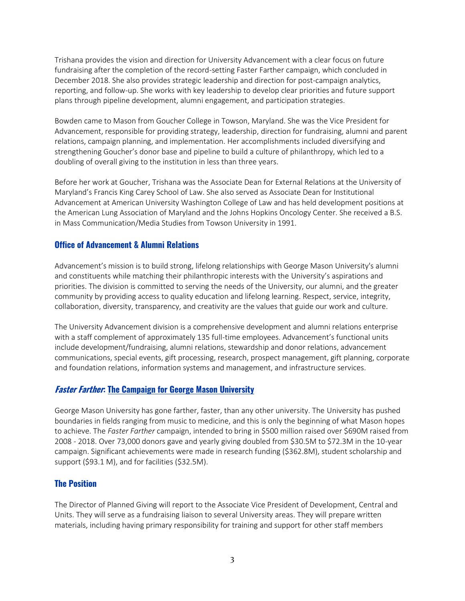Trishana provides the vision and direction for University Advancement with a clear focus on future fundraising after the completion of the record-setting Faster Farther campaign, which concluded in December 2018. She also provides strategic leadership and direction for post-campaign analytics, reporting, and follow-up. She works with key leadership to develop clear priorities and future support plans through pipeline development, alumni engagement, and participation strategies.

Bowden came to Mason from Goucher College in Towson, Maryland. She was the Vice President for Advancement, responsible for providing strategy, leadership, direction for fundraising, alumni and parent relations, campaign planning, and implementation. Her accomplishments included diversifying and strengthening Goucher's donor base and pipeline to build a culture of philanthropy, which led to a doubling of overall giving to the institution in less than three years.

Before her work at Goucher, Trishana was the Associate Dean for External Relations at the University of Maryland's Francis King Carey School of Law. She also served as Associate Dean for Institutional Advancement at American University Washington College of Law and has held development positions at the American Lung Association of Maryland and the Johns Hopkins Oncology Center. She received a B.S. in Mass Communication/Media Studies from Towson University in 1991.

#### **Office of Advancement & Alumni Relations**

Advancement's mission is to build strong, lifelong relationships with George Mason University's alumni and constituents while matching their philanthropic interests with the University's aspirations and priorities. The division is committed to serving the needs of the University, our alumni, and the greater community by providing access to quality education and lifelong learning. Respect, service, integrity, collaboration, diversity, transparency, and creativity are the values that guide our work and culture.

The University Advancement division is a comprehensive development and alumni relations enterprise with a staff complement of approximately 135 full-time employees. Advancement's functional units include development/fundraising, alumni relations, stewardship and donor relations, advancement communications, special events, gift processing, research, prospect management, gift planning, corporate and foundation relations, information systems and management, and infrastructure services.

## **Faster Farther[: The Campaign for George Mason University](https://giving.gmu.edu/faster-farther/)**

George Mason University has gone farther, faster, than any other university. The University has pushed boundaries in fields ranging from music to medicine, and this is only the beginning of what Mason hopes to achieve. The *Faster Farther* campaign, intended to bring in \$500 million raised over \$690M raised from 2008 - 2018. Over 73,000 donors gave and yearly giving doubled from \$30.5M to \$72.3M in the 10-year campaign. Significant achievements were made in research funding (\$362.8M), student scholarship and support (\$93.1 M), and for facilities (\$32.5M).

## **The Position**

The Director of Planned Giving will report to the Associate Vice President of Development, Central and Units. They will serve as a fundraising liaison to several University areas. They will prepare written materials, including having primary responsibility for training and support for other staff members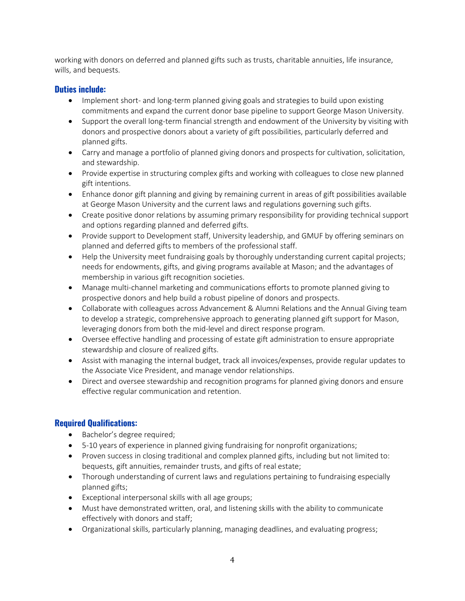working with donors on deferred and planned gifts such as trusts, charitable annuities, life insurance, wills, and bequests.

#### **Duties include:**

- Implement short- and long-term planned giving goals and strategies to build upon existing commitments and expand the current donor base pipeline to support George Mason University.
- Support the overall long-term financial strength and endowment of the University by visiting with donors and prospective donors about a variety of gift possibilities, particularly deferred and planned gifts.
- Carry and manage a portfolio of planned giving donors and prospects for cultivation, solicitation, and stewardship.
- Provide expertise in structuring complex gifts and working with colleagues to close new planned gift intentions.
- Enhance donor gift planning and giving by remaining current in areas of gift possibilities available at George Mason University and the current laws and regulations governing such gifts.
- Create positive donor relations by assuming primary responsibility for providing technical support and options regarding planned and deferred gifts.
- Provide support to Development staff, University leadership, and GMUF by offering seminars on planned and deferred gifts to members of the professional staff.
- Help the University meet fundraising goals by thoroughly understanding current capital projects; needs for endowments, gifts, and giving programs available at Mason; and the advantages of membership in various gift recognition societies.
- Manage multi-channel marketing and communications efforts to promote planned giving to prospective donors and help build a robust pipeline of donors and prospects.
- Collaborate with colleagues across Advancement & Alumni Relations and the Annual Giving team to develop a strategic, comprehensive approach to generating planned gift support for Mason, leveraging donors from both the mid-level and direct response program.
- Oversee effective handling and processing of estate gift administration to ensure appropriate stewardship and closure of realized gifts.
- Assist with managing the internal budget, track all invoices/expenses, provide regular updates to the Associate Vice President, and manage vendor relationships.
- Direct and oversee stewardship and recognition programs for planned giving donors and ensure effective regular communication and retention.

## **Required Qualifications:**

- Bachelor's degree required;
- 5-10 years of experience in planned giving fundraising for nonprofit organizations;
- Proven success in closing traditional and complex planned gifts, including but not limited to: bequests, gift annuities, remainder trusts, and gifts of real estate;
- Thorough understanding of current laws and regulations pertaining to fundraising especially planned gifts;
- Exceptional interpersonal skills with all age groups;
- Must have demonstrated written, oral, and listening skills with the ability to communicate effectively with donors and staff;
- Organizational skills, particularly planning, managing deadlines, and evaluating progress;